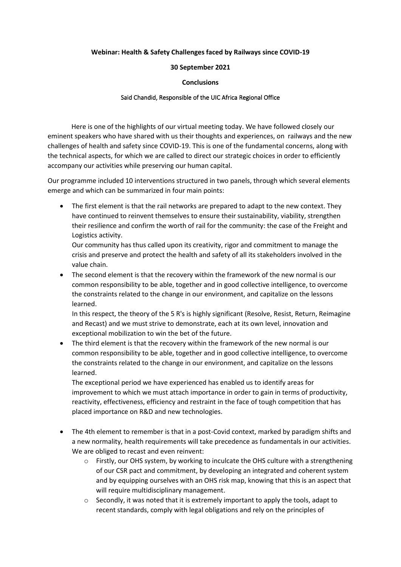## **Webinar: Health & Safety Challenges faced by Railways since COVID-19**

## **30 September 2021**

## **Conclusions**

## Said Chandid, Responsible of the UIC Africa Regional Office

Here is one of the highlights of our virtual meeting today. We have followed closely our eminent speakers who have shared with us their thoughts and experiences, on railways and the new challenges of health and safety since COVID-19. This is one of the fundamental concerns, along with the technical aspects, for which we are called to direct our strategic choices in order to efficiently accompany our activities while preserving our human capital.

Our programme included 10 interventions structured in two panels, through which several elements emerge and which can be summarized in four main points:

• The first element is that the rail networks are prepared to adapt to the new context. They have continued to reinvent themselves to ensure their sustainability, viability, strengthen their resilience and confirm the worth of rail for the community: the case of the Freight and Logistics activity.

Our community has thus called upon its creativity, rigor and commitment to manage the crisis and preserve and protect the health and safety of all its stakeholders involved in the value chain.

• The second element is that the recovery within the framework of the new normal is our common responsibility to be able, together and in good collective intelligence, to overcome the constraints related to the change in our environment, and capitalize on the lessons learned.

In this respect, the theory of the 5 R's is highly significant (Resolve, Resist, Return, Reimagine and Recast) and we must strive to demonstrate, each at its own level, innovation and exceptional mobilization to win the bet of the future.

• The third element is that the recovery within the framework of the new normal is our common responsibility to be able, together and in good collective intelligence, to overcome the constraints related to the change in our environment, and capitalize on the lessons learned.

The exceptional period we have experienced has enabled us to identify areas for improvement to which we must attach importance in order to gain in terms of productivity, reactivity, effectiveness, efficiency and restraint in the face of tough competition that has placed importance on R&D and new technologies.

- The 4th element to remember is that in a post-Covid context, marked by paradigm shifts and a new normality, health requirements will take precedence as fundamentals in our activities. We are obliged to recast and even reinvent:
	- $\circ$  Firstly, our OHS system, by working to inculcate the OHS culture with a strengthening of our CSR pact and commitment, by developing an integrated and coherent system and by equipping ourselves with an OHS risk map, knowing that this is an aspect that will require multidisciplinary management.
	- o Secondly, it was noted that it is extremely important to apply the tools, adapt to recent standards, comply with legal obligations and rely on the principles of